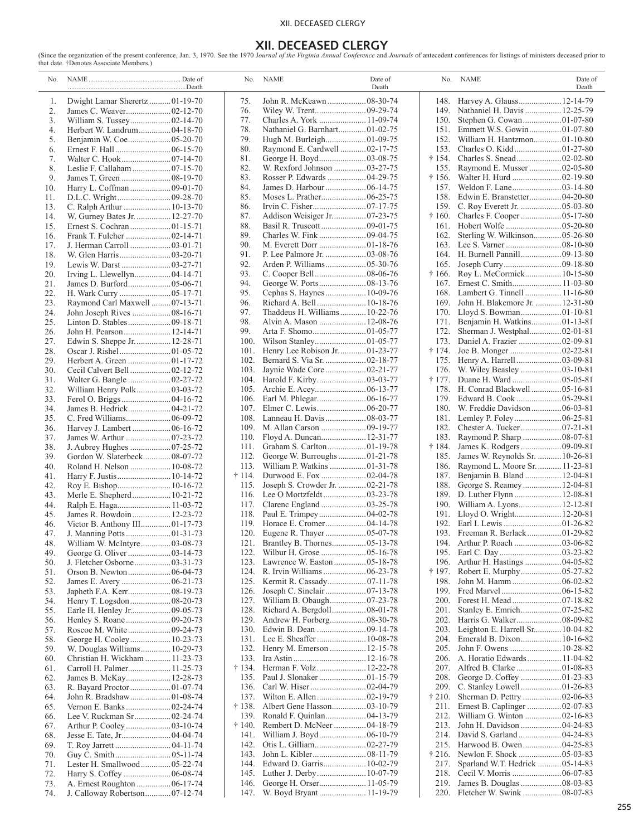## XII. DECEASED CLERGY

# **XII. DECEASED CLERGY**

(Since the organization of the present conference, Jan. 3, 1970. See the 1970 Journal of the Virginia Annual Conference and Journals of antecedent conferences for listings of ministers deceased prior to that date. †Denotes

| No.        |                                |                | No. NAME                                                | Date of<br>Death |                | No. NAME                                                 | Date of<br>Death |
|------------|--------------------------------|----------------|---------------------------------------------------------|------------------|----------------|----------------------------------------------------------|------------------|
| 1.         | Dwight Lamar Sherertz 01-19-70 | 75.            | John R. McKeawn  08-30-74                               |                  |                | 148. Harvey A. Glauss 12-14-79                           |                  |
| 2.         | James C. Weaver02-12-70        | 76.            |                                                         |                  |                | 149. Nathaniel H. Davis  12-25-79                        |                  |
| 3.         |                                | 77.            | Charles A. York  11-09-74                               |                  | 150.           |                                                          |                  |
| 4.         | Herbert W. Landrum 04-18-70    | 78.            | Nathaniel G. Barnhart 01-02-75                          |                  |                | 151. Emmett W.S. Gowin  01-07-80                         |                  |
| 5.         |                                | 79.            |                                                         |                  | 152.           | William H. Hantzmon01-10-80                              |                  |
| 6.         |                                | 80.            | Raymond E. Cardwell  02-17-75                           |                  | 153.           |                                                          |                  |
| 7.         |                                | 81.            |                                                         |                  | † 154.         |                                                          |                  |
| 8.         | Leslie F. Callaham  07-15-70   | 82.            | W. Rexford Johnson  03-27-75                            |                  | 155.           | Raymond E. Musser  02-05-80                              |                  |
| 9.         |                                | 83.            | Rosser P. Edwards  04-29-75                             |                  | † 156.         |                                                          |                  |
| 10.        | Harry L. Coffman  09-01-70     | 84.            | James D. Harbour  06-14-75                              |                  | 157.           |                                                          |                  |
| 11.        |                                | 85.            |                                                         |                  | 158.           | Edwin E. Branstetter 04-20-80                            |                  |
| 13.        | C. Ralph Arthur  10-13-70      | 86.            |                                                         |                  | 159.           |                                                          |                  |
| 14.        | W. Gurney Bates Jr.  12-27-70  | 87.            |                                                         |                  |                |                                                          |                  |
| 15.        |                                | 88.            | Basil R. Truscott  09-01-75                             |                  |                |                                                          |                  |
| 16.        |                                | 89.            |                                                         |                  | 162.           | Sterling W. Wilkinson 05-26-80                           |                  |
| 17.        | J. Herman Carroll  03-01-71    | 90.<br>91.     | P. Lee Palmore Jr.  03-08-76                            |                  | 164.           |                                                          |                  |
| 18.<br>19. | Lewis W. Darst  03-27-71       | 92.            |                                                         |                  | 165.           |                                                          |                  |
| 20.        |                                | 93.            |                                                         |                  | † 166.         | Roy L. McCormick 10-15-80                                |                  |
| 21.        | James D. Burford05-06-71       | 94.            |                                                         |                  | 167.           | Ernest C. Smith 11-03-80                                 |                  |
| 22.        |                                | 95.            | Cephas S. Haynes  10-09-76                              |                  | 168.           | Lambert G. Tinnell  11-16-80                             |                  |
| 23.        | Raymond Carl Maxwell  07-13-71 | 96.            | Richard A. Bell  10-18-76                               |                  | 169.           | John H. Blakemore Jr.  12-31-80                          |                  |
| 24.        | John Joseph Rives  08-16-71    | 97.            | Thaddeus H. Williams  10-22-76                          |                  | 170.           |                                                          |                  |
| 25.        |                                | 98.            | Alvin A. Mason  12-08-76                                |                  | 171.           | Benjamin H. Watkins01-13-81                              |                  |
| 26.        |                                | 99.            |                                                         |                  | 172.           | Sherman J. Westphal 02-01-81                             |                  |
| 27.        | Edwin S. Sheppe Jr.  12-28-71  | 100.           |                                                         |                  | 173.           | Daniel A. Frazier  02-09-81                              |                  |
| 28.        |                                | 101.           | Henry Lee Robison Jr.  01-23-77                         |                  | † 174.         |                                                          |                  |
| 29.        |                                | 102.           | Bernard S. Via Sr.  02-18-77                            |                  | 175.           |                                                          |                  |
| 30.        |                                | 103.           | Jaynie Wade Core  02-21-77                              |                  | 176.           |                                                          |                  |
| 31.        | Walter G. Bangle  02-27-72     |                |                                                         |                  | † 177.         |                                                          |                  |
| 32.        | William Henry Polk 03-03-72    |                |                                                         |                  | 178.           | H. Conrad Blackwell  05-16-81                            |                  |
| 33.        | Ferol O. Briggs04-16-72        | 106.           |                                                         |                  | 179.           | Edward B. Cook  05-29-81                                 |                  |
| 34.        |                                |                |                                                         |                  |                | 180. W. Freddie Davidson  06-03-81                       |                  |
| 35.        |                                |                | 108. Lanneau H. Davis  08-03-77                         |                  |                |                                                          |                  |
| 36.        | Harvey J. Lambert  06-16-72    |                |                                                         |                  | 182.           | Chester A. Tucker  07-21-81                              |                  |
| 37.        |                                | 110.           | Floyd A. Duncan 12-31-77                                |                  | 183.           | Raymond P. Sharp  08-07-81                               |                  |
| 38.        |                                | 111.           | Graham S. Carlton  01-19-78                             |                  | † 184.         |                                                          |                  |
| 39.        | Gordon W. Slaterbeck 08-07-72  | 112.           | George W. Burroughs  01-21-78                           |                  | 185.           | James W. Reynolds Sr.  10-26-81                          |                  |
| 40.        | Roland H. Nelson  10-08-72     | 113.<br>† 114. | William P. Watkins  01-31-78<br>Durwood E. Fox 02-04-78 |                  | 186.<br>187.   | Raymond L. Moore Sr.  11-23-81                           |                  |
| 41.<br>42. | Harry F. Justis  10-14-72      | 115.           | Joseph S. Crowder Jr.  02-21-78                         |                  | 188.           | Benjamin B. Bland  12-04-81<br>George S. Reamey 12-04-81 |                  |
| 43.        | Merle E. Shepherd 10-21-72     |                |                                                         |                  | 189.           | D. Luther Flynn  12-08-81                                |                  |
| 44.        | Ralph E. Haga 11-03-72         | 117.           |                                                         |                  |                | 190. William A. Lyons 12-12-81                           |                  |
| 45.        | James R. Bowdoin 12-23-72      | 118.           |                                                         |                  |                | 191. Lloyd O. Wright 12-20-81                            |                  |
| 46.        | Victor B. Anthony III01-17-73  | 119.           |                                                         |                  | 192.           |                                                          |                  |
| 47.        |                                | 120.           |                                                         |                  |                |                                                          |                  |
| 48.        | William W. McIntyre03-08-73    |                | 121. Brantley B. Thornes 05-13-78                       |                  |                |                                                          |                  |
| 49.        |                                |                |                                                         |                  |                |                                                          |                  |
| 50.        |                                | 123.           |                                                         |                  | 196.           | Arthur H. Hastings  04-05-82                             |                  |
| 51.        |                                | 124.           | R. Irvin Williams  06-23-78                             |                  | † 197.         |                                                          |                  |
| 52.        |                                |                | 125. Kermit R. Cassady 07-11-78                         |                  | 198.           | John M. Hamm  06-02-82                                   |                  |
| 53.        |                                | 126.           | Joseph C. Sinclair  07-13-78                            |                  | 199.           |                                                          |                  |
| 54.        |                                | 127.           | William B. Obaugh 07-23-78                              |                  |                |                                                          |                  |
| 55.        |                                | 128.           | Richard A. Bergdoll 08-01-78                            |                  |                |                                                          |                  |
| 56.        |                                | 129.           |                                                         |                  | 202.           | Harris G. Walker 08-09-82                                |                  |
| 57.        | Roscoe M. White  09-24-73      | 130.           |                                                         |                  |                | 203. Leighton E. Harrell Sr 10-04-82                     |                  |
| 58.        |                                |                |                                                         |                  |                | 204. Emerald B. Dixon 10-16-82                           |                  |
| 59.        | W. Douglas Williams 10-29-73   |                | 132. Henry M. Emerson  12-15-78                         |                  | 205.           | John F. Owens  10-28-82                                  |                  |
| 60.        | Christian H. Wickham  11-23-73 | 133.           | † 134. Herman F. Volz  12-22-78                         |                  |                | 206. A. Horatio Edwards 11-04-82                         |                  |
| 61.        | Carroll H. Palmer 11-25-73     |                |                                                         |                  | 208.           |                                                          |                  |
| 62.<br>63. |                                | 136.           |                                                         |                  |                | 209. C. Stanley Lowell  01-26-83                         |                  |
| 64.        |                                |                |                                                         |                  |                |                                                          |                  |
| 65.        | Vernon E. Banks  02-24-74      |                |                                                         |                  |                | 211. Ernest B. Caplinger  02-07-83                       |                  |
| 66.        | Lee V. Ruckman Sr 02-24-74     |                |                                                         |                  | 212.           | William G. Winton  02-16-83                              |                  |
| 67.        |                                | † 140.         | Rembert D. McNeer  04-18-79                             |                  | 213.           | John H. Davidson  04-24-83                               |                  |
| 68.        |                                |                |                                                         |                  | 214.           | David S. Garland  04-24-83                               |                  |
| 69.        |                                | 142.           | Otis L. Gilliam 02-27-79                                |                  |                | 215. Harwood B. Owen 04-25-83                            |                  |
| 70.        |                                | 143.           |                                                         |                  | $\dagger$ 216. |                                                          |                  |
| 71.        | Lester H. Smallwood 05-22-74   | 144.           | Edward D. Garris 10-02-79                               |                  | 217.           | Sparland W.T. Hedrick  05-14-83                          |                  |
| 72.        |                                | 145.           |                                                         |                  |                |                                                          |                  |
| 73.        | A. Ernest Roughton  06-17-74   | 146.           | George H. Orser 11-05-79                                |                  |                | 219. James B. Douglas  08-03-83                          |                  |
| 74.        |                                |                | 147. W. Boyd Bryant  11-19-79                           |                  | 220.           | Fletcher W. Swink  08-07-83                              |                  |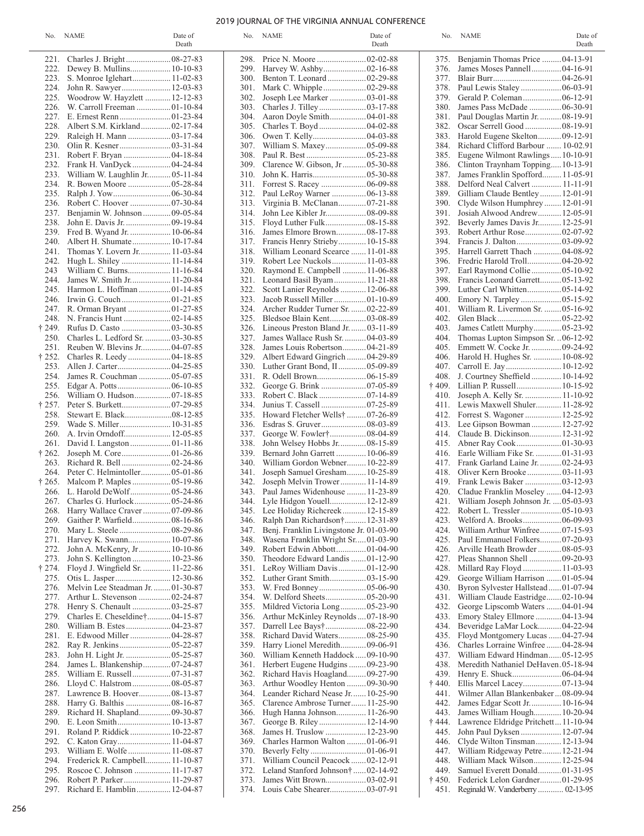### 2019 JOURNAL OF THE VIRGINIA ANNUAL CONFERENCE

|                | No. NAME                            | Date of<br>Death |              | No. NAME                                                    | Date of<br>Death |                | No. NAME                                  | Date of<br>Death |
|----------------|-------------------------------------|------------------|--------------|-------------------------------------------------------------|------------------|----------------|-------------------------------------------|------------------|
|                |                                     |                  | 298.         |                                                             |                  |                | 375. Benjamin Thomas Price  04-13-91      |                  |
| 222.           | Dewey B. Mullins 10-10-83           |                  | 299.         |                                                             |                  | 376.           | James Moses Pannell 04-16-91              |                  |
|                | 223. S. Monroe Iglehart 11-02-83    |                  | 300.         | Benton T. Leonard  02-29-88                                 |                  |                |                                           |                  |
| 224.           | John R. Sawyer 12-03-83             |                  | 301.         |                                                             |                  | 378.           |                                           |                  |
| 225.           | Woodrow W. Hayzlett  12-12-83       |                  | 302.         | Joseph Lee Marker  03-01-88                                 |                  | 379.           | Gerald P. Coleman 06-12-91                |                  |
| 226.           | W. Carroll Freeman 01-10-84         |                  | 303.         |                                                             |                  | 380.           | James Pass McDade  06-30-91               |                  |
|                |                                     |                  | 304.         |                                                             |                  |                | 381. Paul Douglas Martin Jr.  08-19-91    |                  |
| 228.           | Albert S.M. Kirkland 02-17-84       |                  | 305.         |                                                             |                  | 382.           | Oscar Serrell Good  08-19-91              |                  |
| 229.           |                                     |                  | 306.         |                                                             |                  |                | 383. Harold Eugene Skelton 09-12-91       |                  |
| 230.           |                                     |                  | 307.         |                                                             |                  | 384.           | Richard Clifford Barbour  10-02.91        |                  |
|                |                                     |                  | 308.         |                                                             |                  |                | 385. Eugene Wilmont Rawlings10-10-91      |                  |
| 232.           | Frank H. VanDyck  04-24-84          |                  | 309.         | Clarence W. Gibson, Jr 05-30-88                             |                  | 386.           | Clinton Traynham Topping10-13-91          |                  |
| 233.           | William W. Laughlin Jr 05-11-84     |                  | 310.         |                                                             |                  |                | 387. James Franklin Spofford 11-05-91     |                  |
| 234.           |                                     |                  | 311.         |                                                             |                  | 388.           | Delford Neal Calvert  11-11-91            |                  |
| 235.           |                                     |                  | 312.         | Paul LeRoy Warner  06-13-88                                 |                  |                | 389. Gilliam Claude Bentley 12-01-91      |                  |
| 236.           | Robert C. Hoover 07-30-84           |                  | 313.         | Virginia B. McClanan 07-21-88                               |                  | <b>390.</b>    | Clyde Wilson Humphrey12-01-91             |                  |
| 237.           | Benjamin W. Johnson 09-05-84        |                  | 314.         |                                                             |                  |                | 391. Josiah Alwood Andrew 12-05-91        |                  |
| 238.           | John E. Davis Jr.  09-19-84         |                  | 315.         |                                                             |                  | 392.           | Beverly James Davis Jr 12-25-91           |                  |
| 239.           | Fred B. Wyand Jr.  10-06-84         |                  | 316.         | James Elmore Brown 08-17-88                                 |                  | 393.           |                                           |                  |
| 240.           | Albert H. Shumate 10-17-84          |                  | 317.         | Francis Henry Strieby 10-15-88                              |                  | 394.           |                                           |                  |
| 241.           | Thomas Y. Lovern Jr 11-03-84        |                  | 318.         | William Leonard Scearce  11-01-88                           |                  | 395.           | Harrell Garrett Thach  04-08-92           |                  |
| 242.           | Hugh L. Shiley  11-14-84            |                  | 319.         | Robert Lee Nuckols 11-03-88                                 |                  | 396.           | Fredric Harold Troll 04-20-92             |                  |
| 243            |                                     |                  | 320.         | Raymond E. Campbell  11-06-88                               |                  |                | 397. Earl Raymond Collie  05-10-92        |                  |
| 244.           | James W. Smith Jr 11-20-84          |                  | 321.         | Leonard Basil Byam 11-21-88                                 |                  |                | 398. Francis Leonard Garrett 05-13-92     |                  |
| 245.           | Harmon L. Hoffman  01-14-85         |                  | 322.         | Scott Lanier Reynolds  12-06-88                             |                  |                |                                           |                  |
| 246.           |                                     |                  | 323.         | Jacob Russell Miller  01-10-89                              |                  |                | 400. Emory N. Tarpley  05-15-92           |                  |
|                |                                     |                  | 324.         | Archer Rudder Turner Sr.  02-22-89                          |                  |                | 401. William R. Livermon Sr.  05-16-92    |                  |
| 248.           |                                     |                  | 325.         |                                                             |                  |                |                                           |                  |
| † 249.         |                                     |                  | 326.         | Lineous Preston Bland Jr.  03-11-89                         |                  | 403.           | James Catlett Murphy 05-23-92             |                  |
| 250.           | Charles L. Ledford Sr.  03-30-85    |                  | 327.         | James Wallace Rush Sr.  04-03-89                            |                  | 404.           | Thomas Lupton Simpson Sr.  06-12-92       |                  |
|                | 251. Reuben W. Blevins Jr 04-07-85  |                  | 328.         | James Louis Robertson 04-21-89                              |                  |                | 405. Emmett W. Cocke Jr.  09-24-92        |                  |
| † 252.         |                                     |                  | 329.         | Albert Edward Gingrich 04-29-89                             |                  |                | 406. Harold H. Hughes Sr.  10-08-92       |                  |
| 253.           |                                     |                  | 330.         | Luther Grant Bond, II 05-09-89                              |                  |                |                                           |                  |
| 254.           | James R. Couchman  05-07-85         |                  | 331.         |                                                             |                  |                | 408. J. Courtney Sheffield 10-14-92       |                  |
| 255.           |                                     |                  | 332.         |                                                             |                  | $\dagger$ 409. | Lillian P. Russell 10-15-92               |                  |
| 256.           |                                     |                  | 333.         |                                                             |                  | 410.           | Joseph A. Kelly Sr.  11-10-92             |                  |
| † 257.         |                                     |                  | 334.         |                                                             |                  |                | 411. Lewis Maxwell Shuler 11-28-92        |                  |
| 258.           |                                     |                  | 335.         | Howard Fletcher Wells†  07-26-89                            |                  |                | 412. Forrest S. Wagoner  12-25-92         |                  |
| 259.<br>260.   |                                     |                  | 336.         |                                                             |                  | 413.           | Lee Gipson Bowman 12-27-92                |                  |
| 261.           |                                     |                  | 337.         | George W. Fowler† 08-04-89<br>John Welsey Hobbs Jr 08-15-89 |                  | 414.           | Claude B. Dickinson 12-31-92              |                  |
|                |                                     |                  | 338.<br>339. | Bernard John Garrett  10-06-89                              |                  | 415.<br>416.   | Earle William Fike Sr.  01-31-93          |                  |
| † 262.<br>263. |                                     |                  | 340.         | William Gordon Webner 10-22-89                              |                  |                | 417. Frank Garland Laine Jr.  02-24-93    |                  |
| 264.           | Peter C. Helmintoller 05-01-86      |                  | 341.         | Joseph Samuel Gresham 10-25-89                              |                  | 418.           | Oliver Kern Brooke  03-11-93              |                  |
| † 265.         |                                     |                  | 342.         | Joseph Melvin Trower 11-14-89                               |                  |                | 419. Frank Lewis Baker  03-12-93          |                  |
|                |                                     |                  | 343.         | Paul James Widenhouse  11-23-89                             |                  |                | 420. Cladue Franklin Moseley 04-12-93     |                  |
|                |                                     |                  |              | 344. Lyle Hidgon Youell 12-12-89                            |                  |                | 421. William Joseph Johnson Jr.  05-03-93 |                  |
|                | 268. Harry Wallace Craver  07-09-86 |                  |              | 345. Lee Holiday Richcreek 12-15-89                         |                  |                | 422. Robert L. Tressler  05-10-93         |                  |
| 269.           | Gaither P. Warfield 08-16-86        |                  | 346.         | Ralph Dan Richardson† 12-31-89                              |                  | 423.           |                                           |                  |
| 270.           |                                     |                  | 347.         | Benj. Franklin Livingstone Jr. 01-03-90                     |                  | 424.           | William Arthur Winfree 07-15-93           |                  |
| 271.           |                                     |                  | 348.         | Wasena Franklin Wright Sr01-03-90                           |                  | 425.           | Paul Emmanuel Folkers 07-20-93            |                  |
| 272.           | John A. McKenry, Jr 10-10-86        |                  | 349.         | Robert Edwin Abbott01-04-90                                 |                  | 426.           | Arville Heath Browder 08-05-93            |                  |
| 273.           |                                     |                  | 350.         | Theodore Edward Landis  01-12-90                            |                  | 427.           | Pleas Shannon Shell  09-20-93             |                  |
| † 274.         | Floyd J. Wingfield Sr.  11-22-86    |                  | 351.         | LeRoy William Davis 01-12-90                                |                  | 428.           | Millard Ray Floyd  11-03-93               |                  |
| 275.           |                                     |                  |              |                                                             |                  | 429.           | George William Harrison  01-05-94         |                  |
| 276.           | Melvin Lee Steadman Jr.  01-30-87   |                  | 353.         |                                                             |                  | 430.           | Byron Sylvester Hallstead01-07-94         |                  |
| 277.           | Arthur L. Stevenson  02-24-87       |                  | 354.         |                                                             |                  |                | 431. William Claude Eastridge 02-10-94    |                  |
| 278.           | Henry S. Chenault  03-25-87         |                  | 355.         | Mildred Victoria Long 05-23-90                              |                  | 432.           | George Lipscomb Waters  04-01-94          |                  |
| 279.           | Charles E. Cheseldine† 04-15-87     |                  | 356.         | Arthur McKinley Reynolds07-18-90                            |                  |                | 433. Emory Staley Ellmore  04-13-94       |                  |
| 280.           |                                     |                  | 357.         | Darrell Lee Bays† 08-22-90                                  |                  | 434.           | Beveridge LaMar Lock 04-22-94             |                  |
|                |                                     |                  | 358.         | Richard David Waters 08-25-90                               |                  |                | 435. Floyd Montgomery Lucas  04-27-94     |                  |
| 282.           |                                     |                  | 359.         | Harry Lionel Meredith 09-06-91                              |                  | 436.           | Charles Lorraine Winfree  04-28-94        |                  |
| 283.           | John H. Light Jr.  05-25-87         |                  | <b>360.</b>  | William Kenneth Haddock  09-10-90                           |                  |                | 437. William Edward Hindman05-12-95       |                  |
| 284.           | James L. Blankenship 07-24-87       |                  | 361.         | Herbert Eugene Hudgins  09-23-90                            |                  | 438.           | Meredith Nathaniel DeHaven.05-18-94       |                  |
| 285.           |                                     |                  |              | 362. Richard Havis Hoagland09-27-90                         |                  | 439.           |                                           |                  |
| 286.           | Lloyd C. Halstrom 08-05-87          |                  | 363.         | Arthur Woodley Henton  09-30-90                             |                  | † 440.         |                                           |                  |
|                | 287. Lawrence B. Hoover 08-13-87    |                  |              | 364. Leander Richard Nease Jr 10-25-90                      |                  | 441.           | Wilmer Allan Blankenbaker  08-09-94       |                  |
| 288.           | Harry G. Balthis  08-16-87          |                  | 365.         | Clarence Ambrose Turner 11-25-90                            |                  | 442.           | James Edgar Scott Jr 10-16-94             |                  |
| 289.           | Richard H. Shapland 09-30-87        |                  | 366.         | Hugh Hanna Johnson 11-26-90                                 |                  | 443.           | James William Hough 10-20-94              |                  |
| 290.           |                                     |                  | 367.         | George B. Riley 12-14-90                                    |                  | † 444.         | Lawrence Eldridge Pritchett 11-10-94      |                  |
| 291.           | Roland P. Riddick  10-22-87         |                  | 368.         | James H. Truslow  12-23-90                                  |                  |                | 445. John Paul Dyksen 12-07-94            |                  |
| 292.           | C. Katon Gray 11-04-87              |                  | 369.         | Charles Harmon Walton  01-06-91                             |                  | 446.           | Clyde Wilton Tinsman 12-13-94             |                  |
| 293.           |                                     |                  | 370.         |                                                             |                  | 447.           | William Ridgeway Petre 12-21-94           |                  |
| 294.           | Frederick R. Campbell 11-10-87      |                  | 371.         | William Council Peacock02-12-91                             |                  | 448.           | William Mack Wilson 12-25-94              |                  |
| 295.           | Roscoe C. Johnson  11-17-87         |                  | 372.         | Leland Stanford Johnson†  02-14-92                          |                  | 449.           | Samuel Everett Donald 01-31-95            |                  |
| 296.           | Robert P. Parker 11-29-87           |                  | 373.         |                                                             |                  | † 450.         | Federick Lelon Gardner 01-29-95           |                  |
|                | 297. Richard E. Hamblin  12-04-87   |                  |              |                                                             |                  |                | 451. Reginald W. Vanderberry 02-13-95     |                  |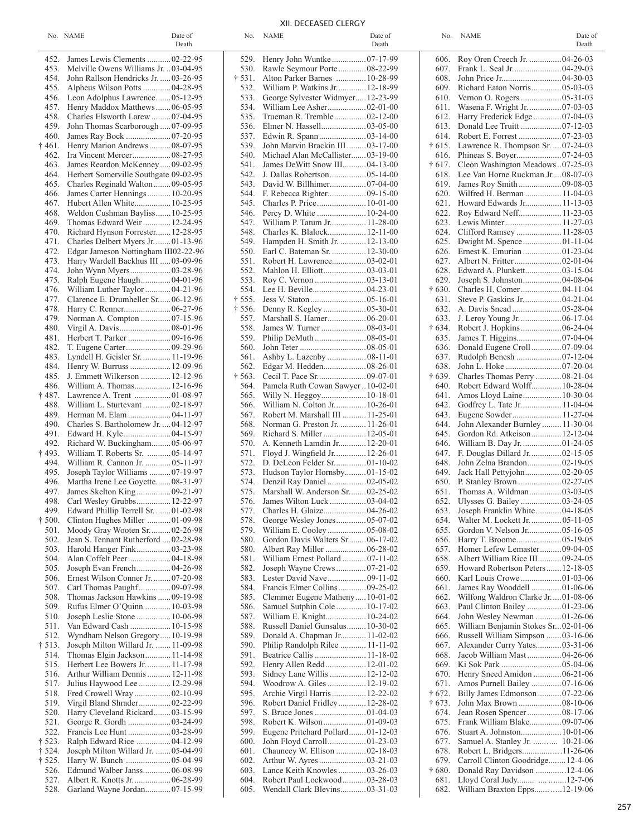# XII. DECEASED CLERGY

No. NAME Date of No. NAME Date of No. NAME Date of No. NAME Date of Date of Date of

| I<br> | ×<br>٠ |  |
|-------|--------|--|
|       |        |  |

|                |                                       | Death |
|----------------|---------------------------------------|-------|
| 452.           | James Lewis Clements  02-22-95        |       |
| 453.           | Melville Owens Williams Jr.  03-04-95 |       |
| 454.           | John Rallson Hendricks Jr.  03-26-95  |       |
| 455.           | Alpheus Wilson Potts  04-28-95        |       |
| 456.           | Leon Adolphus Lawrence 05-12-95       |       |
| 457.           | Henry Maddox Matthews 06-05-95        |       |
| 458.           | Charles Elsworth Larew  07-04-95      |       |
| 459.           | John Thomas Scarborough  07-09-95     |       |
| 460.           | James Ray Bock 07-20-95               |       |
| $\dagger$ 461. | Henry Marion Andrews  08-07-95        |       |
| 462.           | Ira Vincent Mercer 08-27-95           |       |
| 463.           | James Reardon McKenney09-02-95        |       |
| 464.           | Herbert Somerville Southgate 09-02-95 |       |
| 465.           | Charles Reginald Walton  09-05-95     |       |
| 466.           | James Carter Hennings 10-20-95        |       |
| 467.           | Hubert Allen White 10-25-95           |       |
| 468.           | Weldon Cushman Bayliss 10-25-95       |       |
| 469.           | Thomas Edward Weir  12-24-95          |       |
| 470.           | Richard Hynson Forrester 12-28-95     |       |
| 471.           | Charles Delbert Myers Jr.  01-13-96   |       |
| 472.           | Edgar Jameson Nottingham III02-22-96  |       |
| 473.           | Harry Wardell Backhus III  03-09-96   |       |
| 474.           | John Wynn Myers03-28-96               |       |
| 475.           | Ralph Eugene Haugh 04-01-96           |       |
| 476.           | William Luther Taylor  04-21-96       |       |
| 477.           | Clarence E. Drumheller Sr06-12-96     |       |
| 478.           |                                       |       |
| 479.           | Norman A. Compton  07-15-96           |       |
| 480.           |                                       |       |
| 481.           | Herbert T. Parker  09-16-96           |       |
| 482.           |                                       |       |
| 483.           | Lyndell H. Geisler Sr.  11-19-96      |       |
| 484.           | Henry W. Burruss  12-09-96            |       |
| 485.           | J. Emmett Wilkerson  12-12-96         |       |
| 486.           | William A. Thomas 12-16-96            |       |
| † 487.         | Lawrence A. Trent  01-08-97           |       |
| 488.           | William L. Sturtevant  02-18-97       |       |
| 489.           | Herman M. Elam  04-11-97              |       |
| 490.           | Charles S. Bartholomew Jr.  04-12-97  |       |
| 491.           | Edward H. Kyle  04-15-97              |       |
| 492.           | Richard W. Buckingham 05-06-97        |       |
| † 493.         | William T. Roberts Sr.  05-14-97      |       |
| 494.           | William R. Cannon Jr.  05-11-97       |       |
| 495.           | Joseph Taylor Williams  07-19-97      |       |
| 496.           | Martha Irene Lee Goyette08-31-97      |       |
| 497.           | James Skelton King 09-21-97           |       |
| 498.           | Carl Wesley Grubbs 12-22-97           |       |
| 499.           | Edward Phillip Terrell Sr.  01-02-98  |       |
| $\dagger$ 500. | Clinton Hughes Miller 01-09-98        |       |
| 501.           | Moody Gray Wooten Sr.  02-26-98       |       |
| 502.           | Jean S. Tennant Rutherford  02-28-98  |       |
| 503.           | Harold Hanger Fink 03-23-98           |       |
| 504.           | Alan Coffelt Peer 04-18-98            |       |
| 505.           | Joseph Evan French 04-26-98           |       |
| 506.           | Ernest Wilson Conner Jr.  07-20-98    |       |
| 507.           | Carl Thomas Paughf 09-07-98           |       |
| 508.           | Thomas Jackson Hawkins  09-19-98      |       |
| 509.           | Rufus Elmer O'Quinn  10-03-98         |       |
| 510.           | Joseph Leslie Stone  10-06-98         |       |
| 511.           | Van Edward Cash  10-15-98             |       |
| 512.           | Wyndham Nelson Gregory  10-19-98      |       |
| † 513.         | Joseph Milton Willard Jr.  11-09-98   |       |
| 514.           | Thomas Elgin Jackson 11-14-98         |       |
| 515.           | Herbert Lee Bowers Jr.  11-17-98      |       |
| 516.           | Arthur William Dennis  12-11-98       |       |
| 517.           | Julius Haywood Lee  12-29-98          |       |
| 518.           | Fred Crowell Wray  02-10-99           |       |
| 519.           | Virgil Bland Shrader 02-22-99         |       |
| 520.           | Harry Cleveland Rickard 03-15-99      |       |
| 521.           | George R. Gordh  03-24-99             |       |
| 522.           |                                       |       |
| † 523.         | Ralph Edward Rice  04-12-99           |       |
| † 524.         | Joseph Milton Willard Jr. 05-04-99    |       |
| † 525.         | Harry W. Bunch  05-04-99              |       |
| 526.           | Edmund Walber Janss 06-08-99          |       |
| 527.           | Albert R. Knotts Jr 06-28-99          |       |
| 528.           | Garland Wayne Jordan 07-15-99         |       |

| 529.   | Henry John Wuntke 07-17-99         |  |
|--------|------------------------------------|--|
|        |                                    |  |
| 530.   | Rawle Seymour Porte 08-22-99       |  |
| † 531. | Alton Parker Barnes  10-28-99      |  |
| 532.   | William P. Watkins Jr 12-18-99     |  |
| 533.   | George Sylvester Widmyer 12-23-99  |  |
|        |                                    |  |
| 534.   | William Lee Asher 02-01-00         |  |
| 535.   | Trueman R. Tremble 02-12-00        |  |
| 536.   | Elmer N. Hassell03-05-00           |  |
|        |                                    |  |
| 537.   | Edwin R. Spann03-14-00             |  |
| 539.   | John Marvin Brackin III  03-17-00  |  |
| 540.   | Michael Alan McCallister 03-19-00  |  |
| 541.   | James DeWitt Snow III 04-13-00     |  |
| 542    | J. Dallas Robertson 05-14-00       |  |
|        |                                    |  |
| 543.   | David W. Billhimer 07-04-00        |  |
| 544.   |                                    |  |
| 545.   | Charles P. Price 10-01-00          |  |
| 546.   | Percy D. White  10-24-00           |  |
|        |                                    |  |
| 547.   | William P. Tatum Jr 11-28-00       |  |
| 548.   | Charles K. Blalock 12-11-00        |  |
| 549.   | Hampden H. Smith Jr.  12-13-00     |  |
| 550.   |                                    |  |
|        | Earl C. Bateman Sr.  12-30-00      |  |
| 551.   | Robert H. Lawrence 03-02-01        |  |
| 552.   | Mahlon H. Elliott 03-03-01         |  |
| 553.   |                                    |  |
| 554.   |                                    |  |
|        |                                    |  |
| † 555. |                                    |  |
| † 556. | Denny R. Kegley  05-30-01          |  |
| 557.   | Marshall S. Hamer 06-20-01         |  |
| 558.   |                                    |  |
|        | James W. Turner  08-03-01          |  |
| 559.   |                                    |  |
| 560.   |                                    |  |
| 561.   | Ashby L. Lazenby  08-11-01         |  |
| 562.   | Edgar M. Hedden 08-26-01           |  |
|        |                                    |  |
| † 563. |                                    |  |
| 564.   | Pamela Ruth Cowan Sawyer  10-02-01 |  |
| 565.   | Willy N. Heggoy 10-18-01           |  |
| 566.   | William N. Colton Jr 10-26-01      |  |
|        |                                    |  |
| 567.   | Robert M. Marshall III  11-25-01   |  |
| 568.   | Norman G. Preston Jr.  11-26-01    |  |
| 569.   | Richard S. Miller  12-05-01        |  |
| 570.   | A. Kenneth Lamdin Jr 12-20-01      |  |
|        |                                    |  |
| 571.   | Floyd J. Wingfield Jr 12-26-01     |  |
| 572.   | D. DeLeon Felder Sr01-10-02        |  |
| 573.   | Hudson Taylor Hornsby01-15-02      |  |
| 574.   | Denzil Ray Daniel  02-05-02        |  |
|        | Marshall W. Anderson Sr.  02-25-02 |  |
| 575.   |                                    |  |
| 576.   | James Wilton Luck  03-04-02        |  |
| 577.   | Charles H. Glaize 04-26-02         |  |
| 578.   | George Wesley Jones 05-07-02       |  |
| 579.   | William E. Cooley  05-08-02        |  |
|        |                                    |  |
| 580.   | Gordon Davis Walters Sr 06-17-02   |  |
| 580.   | Albert Ray Miller  06-28-02        |  |
| 581.   | William Ernest Pollard  07-11-02   |  |
| 582.   | Joseph Wayne Crews 07-21-02        |  |
| 583.   | Lester David Nave 09-11-02         |  |
|        |                                    |  |
| 584.   | Francis Elmer Collins 09-25-02     |  |
| 585.   | Clemmer Eugene Matheny10-01-02     |  |
| 586.   | Samuel Sutphin Cole 10-17-02       |  |
| 587.   | William E. Knight 10-24-02         |  |
|        |                                    |  |
| 588.   | Russell Daniel Gunsalus 10-30-02   |  |
| 589.   | Donald A. Chapman Jr 11-02-02      |  |
| 590.   | Philip Randolph Rilee  11-11-02    |  |
| 591.   | Beatrice Callis  11-18-02          |  |
|        |                                    |  |
| 592.   | Henry Allen Redd 12-01-02          |  |
| 593.   | Sidney Lane Willis  12-12-02       |  |
| 594.   | Woodrow A. Giles  12-19-02         |  |
| 595.   | Archie Virgil Harris  12-22-02     |  |
| 596.   |                                    |  |
|        | Robert Daniel Fridley  12-28-02    |  |
| 597.   |                                    |  |
| 598.   |                                    |  |
| 599.   | Eugene Pritchard Pollard01-12-03   |  |
| 600.   | John Floyd Carroll01-23-03         |  |
|        |                                    |  |
| 601.   | Chauncey W. Ellison  02-18-03      |  |
| 602.   |                                    |  |
| 603.   | Lance Keith Knowles  03-26-03      |  |
| 604.   | Robert Paul Lockwood 03-28-03      |  |
| 605.   | Wendall Clark Blevins 03-31-03     |  |
|        |                                    |  |

| Death                     |                          |                                                                            | Death |                                  |                                                                   | Death |
|---------------------------|--------------------------|----------------------------------------------------------------------------|-------|----------------------------------|-------------------------------------------------------------------|-------|
| 2-22-95                   |                          |                                                                            |       | 606.                             |                                                                   |       |
| 3-04-95                   | 530.                     | Rawle Seymour Porte 08-22-99                                               |       | 607.                             |                                                                   |       |
| 3-26-95                   | $\pm$ 531.               | Alton Parker Barnes  10-28-99                                              |       | 608.                             |                                                                   |       |
| 4-28-95<br>5-12-95        | 532.<br>533.             | William P. Watkins Jr 12-18-99<br>George Sylvester Widmyer 12-23-99        |       | 609.<br>610.                     | Richard Eaton Norris 05-03-03                                     |       |
| 6-05-95                   | 534.                     |                                                                            |       | 611.                             |                                                                   |       |
| 7-04-95                   | 535.                     |                                                                            |       | 612.                             | Harry Frederick Edge07-04-03                                      |       |
| 7-09-95                   | 536.                     |                                                                            |       | 613.                             |                                                                   |       |
| 7-20-95                   | 537.<br>539.             |                                                                            |       | 614.                             | Lawrence R. Thompson Sr.  07-24-03                                |       |
| 8-07-95<br>8-27-95        |                          | John Marvin Brackin III  03-17-00<br>540. Michael Alan McCallister03-19-00 |       | † 615.<br>616.                   |                                                                   |       |
| 9-02-95                   | 541.                     | James DeWitt Snow III 04-13-00                                             |       | † 617.                           | Cleon Washington Meadows07-25-03                                  |       |
| 9-02-95                   | 542.                     |                                                                            |       | 618.                             | Lee Van Horne Ruckman Jr08-07-03                                  |       |
| 9-05-95                   | 543.                     |                                                                            |       | 619.                             |                                                                   |       |
| 0-20-95<br>0-25-95        | 544.<br>545.             |                                                                            |       | 620.<br>621.                     | Wilfred H. Berman  11-04-03<br>Howard Edwards Jr 11-13-03         |       |
| 0-25-95                   |                          |                                                                            |       | 622.                             |                                                                   |       |
| 2-24-95                   | 547.                     | William P. Tatum Jr 11-28-00                                               |       | 623.                             | Lewis Minter  11-27-03                                            |       |
| 2-28-95                   | 548.                     |                                                                            |       | 624.                             |                                                                   |       |
| $1 - 13 - 96$<br>12-22-96 | 549.<br>550.             | Hampden H. Smith Jr.  12-13-00                                             |       | 625.<br>626.                     |                                                                   |       |
| 3-09-96                   | 551.                     | Earl C. Bateman Sr.  12-30-00                                              |       | 627.                             |                                                                   |       |
| 3-28-96                   | 552.                     |                                                                            |       | 628.                             |                                                                   |       |
| 4-01-96                   | 553.                     |                                                                            |       | 629.                             |                                                                   |       |
| 4-21-96                   | 554.                     |                                                                            |       | $\ddagger$ 630.                  |                                                                   |       |
| 6-12-96<br>6-27-96        | $\dagger$ 555.<br>† 556. |                                                                            |       | 631.<br>632.                     |                                                                   |       |
| 7-15-96                   | 557.                     |                                                                            |       | 633.                             |                                                                   |       |
| 8-01-96                   | 558.                     |                                                                            |       | † 634.                           |                                                                   |       |
| 9-16-96                   | 559.                     |                                                                            |       | 635.                             |                                                                   |       |
| 9-29-96<br>$1 - 19 - 96$  | 560.<br>561.             |                                                                            |       | 636.<br>637.                     |                                                                   |       |
| 2-09-96                   | 562.                     |                                                                            |       | 638.                             |                                                                   |       |
| 2-12-96                   | $\dagger$ 563.           |                                                                            |       | † 639.                           | Charles Thomas Perry  08-21-04                                    |       |
| 2-16-96                   | 564.                     | Pamela Ruth Cowan Sawyer  10-02-01                                         |       | 640.                             | Robert Edward Wolff 10-28-04                                      |       |
| 1-08-97<br>2-18-97        | 565.<br>566.             | William N. Colton Jr 10-26-01                                              |       | 641.<br>642.                     | Godfrey L. Tate Jr 11-04-04                                       |       |
| 4-11-97                   | 567.                     | Robert M. Marshall III  11-25-01                                           |       | 643.                             |                                                                   |       |
| 4-12-97                   | 568.                     | Norman G. Preston Jr.  11-26-01                                            |       | 644.                             | John Alexander Burnley 11-30-04                                   |       |
| 4-15-97                   | 569.                     |                                                                            |       | 645.                             | Gordon Rd. Atkeison 12-12-04                                      |       |
| 5-06-97<br>5-14-97        | 570.<br>571.             | A. Kenneth Lamdin Jr 12-20-01                                              |       | 646.<br>647.                     | William B. Day Jr. 01-24-05                                       |       |
| 5-11-97                   | 572.                     | Floyd J. Wingfield Jr 12-26-01                                             |       | 648.                             | F. Douglas Dillard Jr02-15-05                                     |       |
| 7-19-97                   | 573.                     | Hudson Taylor Hornsby01-15-02                                              |       | 649.                             |                                                                   |       |
| 8-31-97                   | 574.                     |                                                                            |       | 650.                             |                                                                   |       |
| 9-21-97                   | 575.                     | Marshall W. Anderson Sr02-25-02                                            |       | 651.                             |                                                                   |       |
| 2-22-97<br>$1 - 02 - 98$  | 576.<br>577.             |                                                                            |       | 652.<br>653.                     | Joseph Franklin White 04-18-05                                    |       |
| 1-09-98                   |                          | 578. George Wesley Jones 05-07-02                                          |       | 654.                             | Walter M. Lockett Jr.  05-11-05                                   |       |
| 2-26-98                   |                          |                                                                            |       |                                  |                                                                   |       |
| 2-28-98                   | 580.                     | Gordon Davis Walters Sr 06-17-02                                           |       | 656.                             |                                                                   |       |
| 3-23-98<br>4-18-98        | 580.<br>581.             | William Ernest Pollard  07-11-02                                           |       | 657.<br>658.                     | Homer Lefew Lemaster 09-04-05<br>Albert William Rice III 09-24-05 |       |
| 4-26-98                   | 582.                     |                                                                            |       | 659.                             | Howard Robertson Peters12-18-05                                   |       |
| 7-20-98                   |                          |                                                                            |       | 660.                             |                                                                   |       |
| 9-07-98                   | 584.                     |                                                                            |       | 661.                             | James Ray Wooddell 01-06-06                                       |       |
| 9-19-98<br>0-03-98        | 585.<br>586.             | Clemmer Eugene Matheny10-01-02<br>Samuel Sutphin Cole 10-17-02             |       | 662.<br>663.                     | Wilfong Waldron Clarke Jr01-08-06                                 |       |
| 0-06-98                   | 587.                     |                                                                            |       | 664.                             | John Wesley Newman 01-26-06                                       |       |
| 0-15-98                   | 588.                     | Russell Daniel Gunsalus 10-30-02                                           |       | 665.                             | William Benjamin Stokes Sr02-01-06                                |       |
| 0-19-98                   | 589.                     | Donald A. Chapman Jr 11-02-02                                              |       | 666.                             | Russell William Simpson  03-16-06                                 |       |
| 1-09-98<br>1-14-98        | 591.                     | 590. Philip Randolph Rilee  11-11-02                                       |       | 667.<br>668.                     | Alexander Curry Yates 03-31-06                                    |       |
| 1-17-98                   | 592.                     |                                                                            |       | 669.                             |                                                                   |       |
| 2-11-98                   | 593.                     | Sidney Lane Willis  12-12-02                                               |       | 670.                             | Henry Sneed Amidon  06-21-06                                      |       |
| 2-29-98                   | 594.                     |                                                                            |       | 671.                             |                                                                   |       |
| 2-10-99<br>2-22-99        | 595.<br>596.             | Archie Virgil Harris 12-22-02<br>Robert Daniel Fridley 12-28-02            |       | $\dagger$ 672.<br>$\dagger$ 673. | Billy James Edmonson  07-22-06<br>John Max Brown 08-10-06         |       |
| 3-15-99                   | 597.                     |                                                                            |       | 674.                             | Jean Rosen Spencer  08-17-06                                      |       |
| 3-24-99                   | 598.                     |                                                                            |       | 675.                             |                                                                   |       |
| 3-28-99                   | 599.                     | Eugene Pritchard Pollard01-12-03                                           |       | 676.                             |                                                                   |       |
| 4-12-99<br>5-04-99        | 600.<br>601.             | John Floyd Carroll01-23-03<br>Chauncey W. Ellison 02-18-03                 |       | 677.<br>678.                     | Samuel A. Stanley Jr.  10-21-06                                   |       |
| 5-04-99                   | 602.                     |                                                                            |       | 679.                             | Carroll Clinton Goodridge 12-4-06                                 |       |
| 6-08-99                   |                          | 603. Lance Keith Knowles  03-26-03                                         |       | $\dagger$ 680.                   | Donald Ray Davidson 12-4-06                                       |       |
| 6-28-99                   | 604.                     | Robert Paul Lockwood 03-28-03                                              |       | 681.                             | Lloyd Coral Judy  12-7-06                                         |       |
| 7-15-99                   | 605.                     | Wendall Clark Blevins 03-31-03                                             |       | 682.                             | William Braxton Epps 12-19-06                                     |       |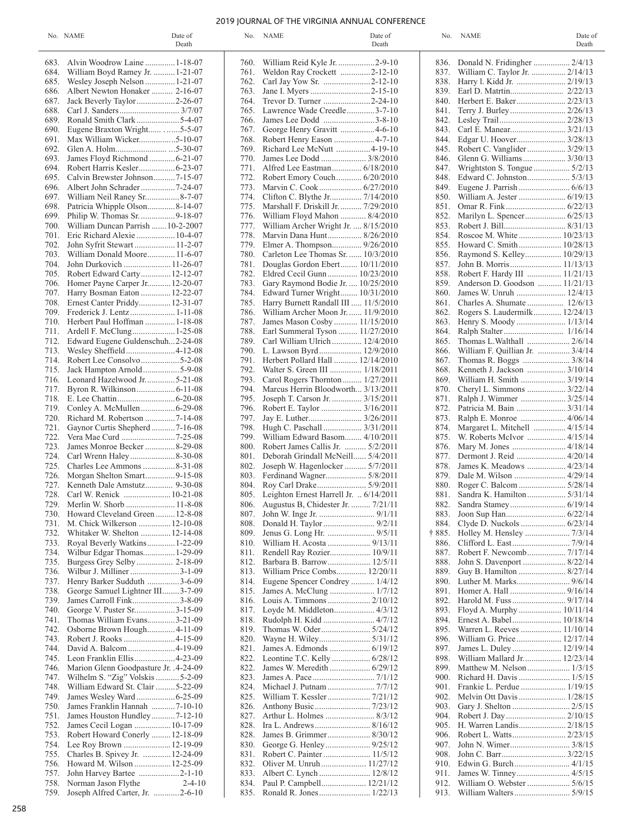# 2019 JOURNAL OF THE VIRGINIA ANNUAL CONFERENCE

835. Ronald R. Jones........................ 1/22/13

|      | No. NAME                               | Date of<br>Death |      | No. NAME                                | Date of<br>Death |        | No. NAME                        | Date of<br>Death |
|------|----------------------------------------|------------------|------|-----------------------------------------|------------------|--------|---------------------------------|------------------|
|      | 683. Alvin Woodrow Laine  1-18-07      |                  |      |                                         |                  |        |                                 |                  |
|      | 684. William Boyd Ramey Jr.  1-21-07   |                  | 761. | Weldon Ray Crockett 2-12-10             |                  | 837.   | William C. Taylor Jr.  2/14/13  |                  |
| 685. | Wesley Joseph Nelson  1-21-07          |                  | 762. | Carl Jay Yow Sr. 2-12-10                |                  | 838.   |                                 |                  |
|      | 686. Albert Newton Honaker  2-16-07    |                  | 763. |                                         |                  | 839.   |                                 |                  |
|      |                                        |                  | 764. | Trevor D. Turner 2-24-10                |                  | 840.   |                                 |                  |
| 688. |                                        |                  | 765. | Lawrence Wade Creedle3-7-10             |                  | 841.   |                                 |                  |
|      | 689. Ronald Smith Clark 5-4-07         |                  | 766. | James Lee Dodd 3-8-10                   |                  | 842.   |                                 |                  |
| 690. | Eugene Braxton Wright 5-5-07           |                  | 767. | George Henry Gravitt 4-6-10             |                  | 843.   |                                 |                  |
| 691. |                                        |                  | 768. | Robert Henry Eason 4-7-10               |                  | 844.   |                                 |                  |
| 692. |                                        |                  | 769. |                                         |                  | 845.   |                                 |                  |
|      |                                        |                  | 770. |                                         |                  | 846.   | Glenn G. Williams 3/30/13       |                  |
| 694. |                                        |                  | 771. |                                         |                  | 847.   |                                 |                  |
| 695. | Calvin Brewster Johnson7-15-07         |                  | 772. | Robert Emory Couch 6/20/2010            |                  | 848.   |                                 |                  |
|      |                                        |                  | 773. |                                         |                  | 849.   |                                 |                  |
| 697. | William Neil Raney Sr8-7-07            |                  | 774. |                                         |                  | 850.   |                                 |                  |
| 698. | Patricia Whipple Olson8-14-07          |                  | 775. | Marshall F. Driskill Jr.  7/29/2010     |                  | 851.   |                                 |                  |
| 699. | Philip W. Thomas Sr. 9-18-07           |                  | 776. | William Floyd Mahon  8/4/2010           |                  | 852.   |                                 |                  |
|      | 700. William Duncan Parrish  10-2-2007 |                  | 777. | William Archer Wright Jr.  8/15/2010    |                  | 853.   |                                 |                  |
| 701. | Eric Richard Alexie  10-4-07           |                  | 778. | Marvin Dana Hunt 8/26/2010              |                  | 854.   | Roscoe M. White 10/23/13        |                  |
| 702. | John Syfrit Stewart  11-2-07           |                  | 779. |                                         |                  | 855.   | Howard C. Smith 10/28/13        |                  |
|      | 703. William Donald Moore 11-6-07      |                  | 780. | Carleton Lee Thomas Sr.  10/3/2010      |                  | 856.   | Raymond S. Kelley 10/29/13      |                  |
|      | 704. John Durkovich  11-26-07          |                  | 781. | Douglas Gordon Ebert 10/11/2010         |                  | 857.   |                                 |                  |
|      | 705. Robert Edward Carty 12-12-07      |                  | 782. | Eldred Cecil Gunn 10/23/2010            |                  | 858.   | Robert F. Hardy III  11/21/13   |                  |
| 706. | Homer Payne Carper Jr 12-20-07         |                  | 783. | Gary Raymond Bodie Jr.  10/25/2010      |                  | 859.   | Anderson D. Goodson  11/21/13   |                  |
|      | 707. Harry Bosman Eaton  12-22-07      |                  | 784. | Edward Turner Wright 10/31/2010         |                  | 860.   | James W. Unruh  12/4/13         |                  |
|      | 708. Ernest Canter Priddy 12-31-07     |                  | 785. | Harry Burnett Randall III  11/5/2010    |                  | 861.   |                                 |                  |
|      | 709. Frederick J. Lentz 1-11-08        |                  | 786. | William Archer Moon Jr.  11/9/2010      |                  | 862.   | Rogers S. Laudermilk 12/24/13   |                  |
|      | 710. Herbert Paul Hoffman  1-18-08     |                  | 787. | James Mason Cosby 11/15/2010            |                  | 863.   |                                 |                  |
|      | 711. Ardell F. McClung 1-25-08         |                  | 788. | Earl Summeral Tyson  11/27/2010         |                  | 864.   |                                 |                  |
| 712. | Edward Eugene Guldenschuh2-24-08       |                  | 789. | Carl William Ulrich  12/4/2010          |                  | 865.   | Thomas L. Walthall  2/6/14      |                  |
| 713. | Wesley Sheffield4-12-08                |                  | 790. | L. Lawson Byrd 12/9/2010                |                  | 866.   | William F. Quillian Jr.  3/4/14 |                  |
|      |                                        |                  | 791. | Herbert Pollard Hall  12/14/2010        |                  | 867.   |                                 |                  |
|      |                                        |                  | 792. | Walter S. Green III  1/18/2011          |                  | 868.   | Kenneth J. Jackson  3/10/14     |                  |
|      | 716. Leonard Hazelwood Jr5-21-08       |                  | 793. | Carol Rogers Thornton 1/27/2011         |                  | 869.   | William H. Smith  3/19/14       |                  |
| 717. |                                        |                  | 794. | Marcus Herrin Bloodworth 3/13/2011      |                  | 870.   | Cheryl L. Simmons  3/22/14      |                  |
|      |                                        |                  | 795. | Joseph T. Carson Jr.  3/15/2011         |                  | 871.   |                                 |                  |
| 719. |                                        |                  | 796. |                                         |                  | 872.   | Patricia M. Bain  3/31/14       |                  |
|      |                                        |                  | 797. |                                         |                  | 873.   | Ralph E. Monroe  4/06/14        |                  |
| 721. |                                        |                  | 798. | Hugh C. Paschall  3/31/2011             |                  | 874.   |                                 |                  |
| 722. |                                        |                  | 799. | William Edward Basom 4/10/2011          |                  | 875.   |                                 |                  |
| 723. | James Monroe Becker 8-29-08            |                  | 800. | Robert James Callis Jr.  5/2/2011       |                  | 876.   |                                 |                  |
| 724. |                                        |                  | 801. | Deborah Grindall McNeill 5/4/2011       |                  | 877.   |                                 |                  |
| 725. |                                        |                  | 802. | Joseph W. Hagenlocker  5/7/2011         |                  | 878.   |                                 |                  |
| 726. | Morgan Shelton Smart9-15-08            |                  | 803. |                                         |                  | 879.   | Dale M. Wilson  4/29/14         |                  |
| 727. |                                        |                  | 804. |                                         |                  | 880.   |                                 |                  |
| 728. |                                        |                  | 805. | Leighton Ernest Harrell Jr.  6/14/2011  |                  | 881.   |                                 |                  |
| 729. |                                        |                  |      | 806. Augustus B, Chidester Jr.  7/21/11 |                  | 882.   |                                 |                  |
|      | 730. Howard Cleveland Green  12-8-08   |                  |      |                                         |                  |        |                                 |                  |
|      | 731. M. Chick Wilkerson  12-10-08      |                  | 808. |                                         |                  | 884.   |                                 |                  |
| 732. | Whitaker W. Shelton  12-14-08          |                  | 809. |                                         |                  | † 885. |                                 |                  |
| 733. |                                        |                  | 810. |                                         |                  | 886.   |                                 |                  |
|      | 734. Wilbur Edgar Thomas 1-29-09       |                  | 811. |                                         |                  | 887.   |                                 |                  |
| 735. |                                        |                  | 812. |                                         |                  | 888.   | John S. Davenport  8/22/14      |                  |
| 736. | Wilbur J. Milliner 3-1-09              |                  | 813. | William Price Combs 12/20/11            |                  | 889.   | Guy B. Hamilton  8/27/14        |                  |
| 737. | Henry Barker Sudduth 3-6-09            |                  | 814. | Eugene Spencer Condrey  1/4/12          |                  | 890.   |                                 |                  |
| 738. | George Samuel Lightner III3-7-09       |                  | 815. |                                         |                  | 891.   |                                 |                  |
| 739. | James Carroll Fink3-8-09               |                  | 816. |                                         |                  | 892.   | Harold M. Fuss  9/17/14         |                  |
| 740. | George V. Puster Sr3-15-09             |                  | 817. |                                         |                  | 893.   | Floyd A. Murphy  10/11/14       |                  |
| 741. | Thomas William Evans3-21-09            |                  | 818. |                                         |                  | 894.   |                                 |                  |
| 742. | Osborne Brown Hough4-11-09             |                  | 819. |                                         |                  | 895.   | Warren L. Reeves  11/10/14      |                  |
| 743. |                                        |                  | 820. |                                         |                  | 896.   |                                 |                  |
| 744. |                                        |                  | 821. |                                         |                  | 897.   |                                 |                  |
| 745. | Leon Franklin Ellis  4-23-09           |                  | 822. |                                         |                  | 898.   | William Mallard Jr 12/23/14     |                  |
| 746. | Marion Glenn Goodpasture Jr. . 4-24-09 |                  | 822. |                                         |                  | 899.   |                                 |                  |
| 747. | Wilhelm S. "Zig" Volskis 5-2-09        |                  | 823. |                                         |                  | 900.   |                                 |                  |
| 748. | William Edward St. Clair 5-22-09       |                  | 824. |                                         |                  | 901.   |                                 |                  |
| 749. |                                        |                  | 825. |                                         |                  | 902.   |                                 |                  |
| 750. | James Franklin Hannah 7-10-10          |                  | 826. |                                         |                  | 903.   |                                 |                  |
| 751. |                                        |                  | 827. |                                         |                  | 904.   |                                 |                  |
| 752. | James Cecil Logan  10-17-09            |                  | 828. |                                         |                  | 905.   |                                 |                  |
|      | 753. Robert Howard Conerly 12-18-09    |                  | 828. | James B. Grimmer 8/30/12                |                  | 906.   |                                 |                  |
|      | 754. Lee Roy Brown  12-19-09           |                  | 830. |                                         |                  | 907.   |                                 |                  |
| 755. | Charles B. Spivey Jr.  12-24-09        |                  | 831. |                                         |                  | 908.   |                                 |                  |
| 756. | Howard M. Wilson  12-25-09             |                  | 832. |                                         |                  | 910.   | Edwin G. Burch 4/1/15           |                  |
| 757. |                                        |                  | 833. |                                         |                  | 911.   |                                 |                  |
|      | 758. Norman Jason Flythe               | $2 - 4 - 10$     | 834. |                                         |                  |        |                                 |                  |

| 836.   |                                                                |  |
|--------|----------------------------------------------------------------|--|
| 837.   | Donald N. Fridingher  2/4/13<br>William C. Taylor Jr.  2/14/13 |  |
|        |                                                                |  |
| 838.   | Harry 1. Kidd Jr.  2/19/13                                     |  |
| 839.   |                                                                |  |
| 840.   | Herbert E. Baker 2/23/13                                       |  |
| 841.   | Terry J. Burley  2/26/13                                       |  |
| 842.   | Lesley Trail 2/28/13                                           |  |
| 843.   | Carl E. Manear 3/21/13                                         |  |
| 844.   | Edgar U. Hoover 3/28/13                                        |  |
| 845.   | Robert C. Vanglider 3/29/13                                    |  |
| 846.   | Glenn G. Williams 3/30/13                                      |  |
|        | Wrightston S. Tongue  5/2/13                                   |  |
| 847.   |                                                                |  |
| 848.   | Edward C. Johnston 5/3/13                                      |  |
| 849.   | Eugene J. Parrish  6/6/13                                      |  |
| 850.   | William A. Jester  6/19/13                                     |  |
| 851.   |                                                                |  |
| 852.   | Marilyn L. Spencer 6/25/13                                     |  |
| 853.   |                                                                |  |
| 854.   | Roscoe M. White  10/23/13                                      |  |
| 855.   | Howard C. Smith 10/28/13                                       |  |
| 856.   | Raymond S. Kelley 10/29/13                                     |  |
| 857.   |                                                                |  |
|        |                                                                |  |
| 858.   | Robert F. Hardy III  11/21/13                                  |  |
| 859.   | Anderson D. Goodson  11/21/13                                  |  |
| 860.   | James W. Unruh  12/4/13                                        |  |
| 861.   | Charles A. Shumate  12/6/13                                    |  |
| 862.   | Rogers S. Laudermilk 12/24/13                                  |  |
| 863.   | Henry S. Moody  1/13/14                                        |  |
| 864.   |                                                                |  |
| 865.   | Thomas L.Walthall  2/6/14                                      |  |
| 866.   | William F. Quillian Jr.  3/4/14                                |  |
| 867.   | Thomas R. Boggs  3/8/14                                        |  |
| 868.   |                                                                |  |
|        | Kenneth J. Jackson  3/10/14                                    |  |
| 869.   | William H. Smith  3/19/14                                      |  |
| 870.   | Cheryl L. Simmons  3/22/14                                     |  |
| 871.   | Ralph J. Wimmer  3/25/14                                       |  |
| 872.   | Patricia M. Bain  3/31/14                                      |  |
| 873.   | Ralph E. Monroe  4/06/14                                       |  |
| 874.   | Margaret L. Mitchell  4/15/14                                  |  |
| 875.   | W. Roberts McIvor  4/15/14                                     |  |
| 876.   | Mary M. Jones  4/18/14                                         |  |
| 877.   | Dermont J. Reid  4/20/14                                       |  |
| 878.   | James K. Meadows  4/23/14                                      |  |
| 879.   | Dale M. Wilson  4/29/14                                        |  |
|        |                                                                |  |
| 880.   | Roger C. Balcom  5/28/14                                       |  |
| 881.   | Sandra K. Hamilton  5/31/14                                    |  |
| 882.   |                                                                |  |
| 883.   |                                                                |  |
| 884.   | Clyde D. Nuckols  6/23/14                                      |  |
| † 885. | Holley M. Hensley  7/3/14                                      |  |
| 886.   |                                                                |  |
| 887.   | Robert F. Newcomb 7/17/14                                      |  |
| 888.   | John S. Davenport  8/22/14                                     |  |
| 889.   | Guy B. Hamilton  8/27/14                                       |  |
| 890.   |                                                                |  |
| 891.   | Homer A. Hall  9/16/14                                         |  |
|        | Harold M. Fuss  9/17/14                                        |  |
| 892.   |                                                                |  |
| 893.   | Floyd A. Murphy  10/11/14                                      |  |
| 894.   | Ernest A. Babel 10/18/14                                       |  |
| 895.   | Warren L. Reeves  11/10/14                                     |  |
| 896.   | William G. Price 12/17/14                                      |  |
| 897.   | James L. Duley 12/19/14                                        |  |
| 898.   | William Mallard Jr 12/23/14                                    |  |
| 899.   | Matthew M. Nelson  1/3/15                                      |  |
| 900.   | Richard H. Davis  1/5/15                                       |  |
| 901.   | Frankie L. Perdue  1/19/15                                     |  |
| 902.   | Melvin Ott Davis  1/28/15                                      |  |
|        |                                                                |  |
| 903.   |                                                                |  |
| 904.   |                                                                |  |
| 905.   | H. Warren Landis 2/18/15                                       |  |
| 906.   |                                                                |  |
| 907.   | John N. Wimer 3/8/15                                           |  |
| 908.   |                                                                |  |
| 910.   |                                                                |  |
| 911.   | James W. Tinney 4/5/15                                         |  |
| 912.   | William O. Webster  5/6/15                                     |  |
| 913.   |                                                                |  |
|        |                                                                |  |

759. Joseph Alfred Carter, Jr. ............2-6-10